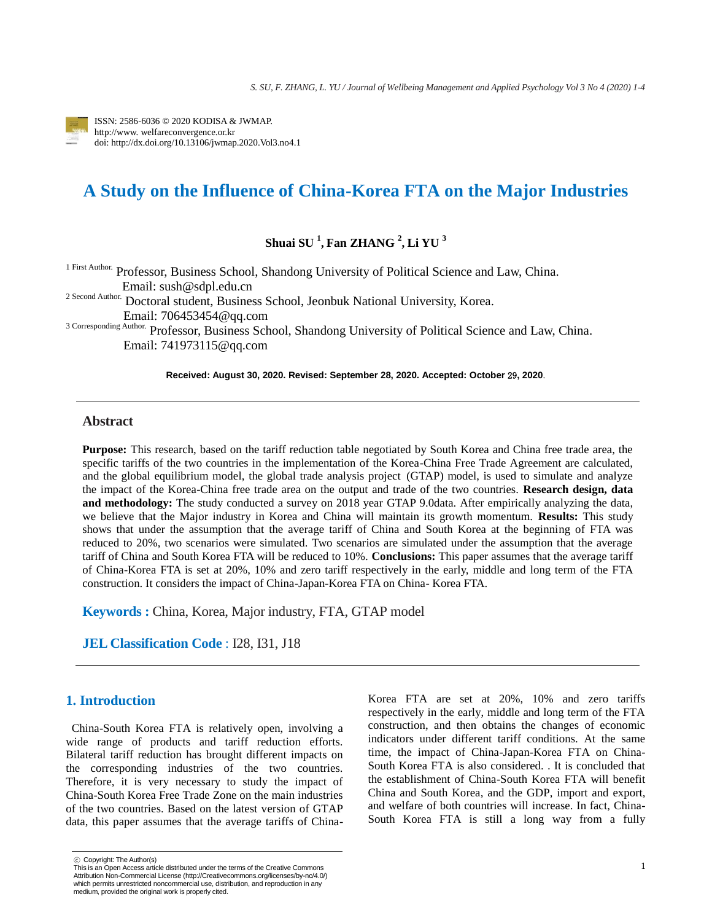

ISSN: 2586-6036 © 2020 KODISA & JWMAP. http://www. welfareconvergence.or.kr doi: http://dx.doi.org/10.13106/jwmap.2020.Vol3.no4.1

# **A Study on the Influence of China-Korea FTA on the Major Industries**

**Shuai SU 1 , Fan ZHANG <sup>2</sup> , Li YU 3**

1 First Author. Professor, Business School, Shandong University of Political Science and Law, China. Email: sush@sdpl.edu.cn

<sup>2</sup> Second Author. Doctoral student, Business School, Jeonbuk National University, Korea. Email: 706453454@qq.com

3 Corresponding Author. Professor, Business School, Shandong University of Political Science and Law, China. Email: 741973115@qq.com

**Received: August 30, 2020. Revised: September 28, 2020. Accepted: October** 29**, 2020**.

## **Abstract**

**Purpose:** This research, based on the tariff reduction table negotiated by South Korea and China free trade area, the specific tariffs of the two countries in the implementation of the Korea-China Free Trade Agreement are calculated, and the global equilibrium model, the global trade analysis project (GTAP) model, is used to simulate and analyze the impact of the Korea-China free trade area on the output and trade of the two countries. **Research design, data and methodology:** The study conducted a survey on 2018 year GTAP 9.0data. After empirically analyzing the data, we believe that the Major industry in Korea and China will maintain its growth momentum. **Results:** This study shows that under the assumption that the average tariff of China and South Korea at the beginning of FTA was reduced to 20%, two scenarios were simulated. Two scenarios are simulated under the assumption that the average tariff of China and South Korea FTA will be reduced to 10%. **Conclusions:** This paper assumes that the average tariff of China-Korea FTA is set at 20%, 10% and zero tariff respectively in the early, middle and long term of the FTA construction. It considers the impact of China-Japan-Korea FTA on China- Korea FTA.

**Keywords :** China, Korea, Major industry, FTA, GTAP model

**JEL Classification Code** : I28, I31, J18

#### **1. Introduction**

China-South Korea FTA is relatively open, involving a wide range of products and tariff reduction efforts. Bilateral tariff reduction has brought different impacts on the corresponding industries of the two countries. Therefore, it is very necessary to study the impact of China-South Korea Free Trade Zone on the main industries of the two countries. Based on the latest version of GTAP data, this paper assumes that the average tariffs of ChinaKorea FTA are set at 20%, 10% and zero tariffs respectively in the early, middle and long term of the FTA construction, and then obtains the changes of economic indicators under different tariff conditions. At the same time, the impact of China-Japan-Korea FTA on China-South Korea FTA is also considered. . It is concluded that the establishment of China-South Korea FTA will benefit China and South Korea, and the GDP, import and export, and welfare of both countries will increase. In fact, China-South Korea FTA is still a long way from a fully

<sup>ⓒ</sup> Copyright: The Author(s)

This is an Open Access article distributed under the terms of the Creative Commons Attribution Non-Commercial License [\(http://Creativecommons.org/licenses/by-nc/4.0/\)](http://creativecommons.org/licenses/by-nc/4.0/)  which permits unrestricted noncommercial use, distribution, and reproduction in any medium, provided the original work is properly cited.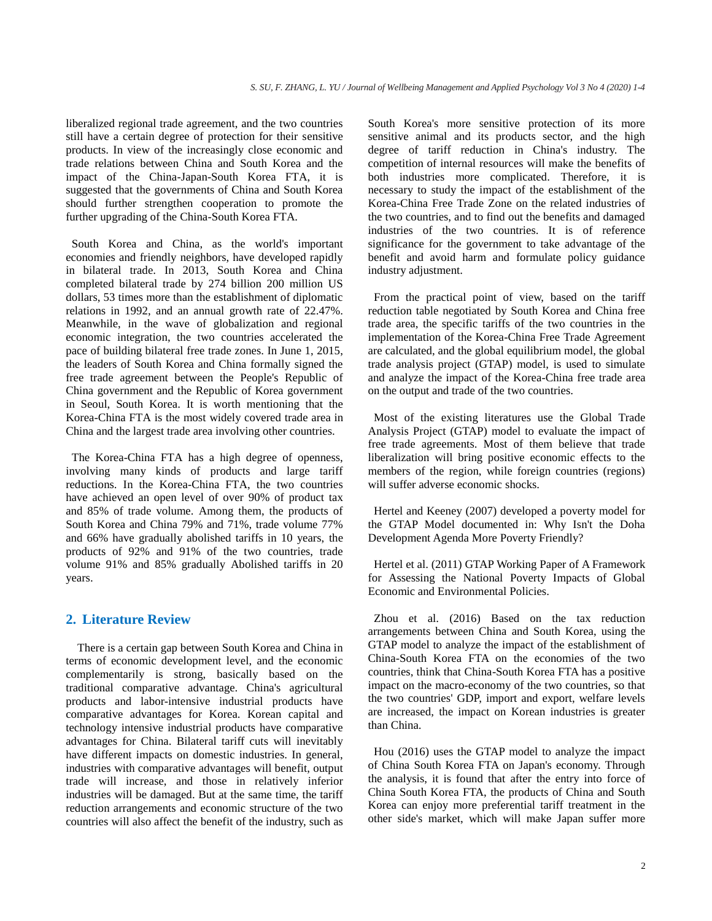liberalized regional trade agreement, and the two countries still have a certain degree of protection for their sensitive products. In view of the increasingly close economic and trade relations between China and South Korea and the impact of the China-Japan-South Korea FTA, it is suggested that the governments of China and South Korea should further strengthen cooperation to promote the further upgrading of the China-South Korea FTA.

South Korea and China, as the world's important economies and friendly neighbors, have developed rapidly in bilateral trade. In 2013, South Korea and China completed bilateral trade by 274 billion 200 million US dollars, 53 times more than the establishment of diplomatic relations in 1992, and an annual growth rate of 22.47%. Meanwhile, in the wave of globalization and regional economic integration, the two countries accelerated the pace of building bilateral free trade zones. In June 1, 2015, the leaders of South Korea and China formally signed the free trade agreement between the People's Republic of China government and the Republic of Korea government in Seoul, South Korea. It is worth mentioning that the Korea-China FTA is the most widely covered trade area in China and the largest trade area involving other countries.

The Korea-China FTA has a high degree of openness, involving many kinds of products and large tariff reductions. In the Korea-China FTA, the two countries have achieved an open level of over 90% of product tax and 85% of trade volume. Among them, the products of South Korea and China 79% and 71%, trade volume 77% and 66% have gradually abolished tariffs in 10 years, the products of 92% and 91% of the two countries, trade volume 91% and 85% gradually Abolished tariffs in 20 years.

### **2. Literature Review**

There is a certain gap between South Korea and China in terms of economic development level, and the economic complementarily is strong, basically based on the traditional comparative advantage. China's agricultural products and labor-intensive industrial products have comparative advantages for Korea. Korean capital and technology intensive industrial products have comparative advantages for China. Bilateral tariff cuts will inevitably have different impacts on domestic industries. In general, industries with comparative advantages will benefit, output trade will increase, and those in relatively inferior industries will be damaged. But at the same time, the tariff reduction arrangements and economic structure of the two countries will also affect the benefit of the industry, such as South Korea's more sensitive protection of its more sensitive animal and its products sector, and the high degree of tariff reduction in China's industry. The competition of internal resources will make the benefits of both industries more complicated. Therefore, it is necessary to study the impact of the establishment of the Korea-China Free Trade Zone on the related industries of the two countries, and to find out the benefits and damaged industries of the two countries. It is of reference significance for the government to take advantage of the benefit and avoid harm and formulate policy guidance industry adjustment.

From the practical point of view, based on the tariff reduction table negotiated by South Korea and China free trade area, the specific tariffs of the two countries in the implementation of the Korea-China Free Trade Agreement are calculated, and the global equilibrium model, the global trade analysis project (GTAP) model, is used to simulate and analyze the impact of the Korea-China free trade area on the output and trade of the two countries.

Most of the existing literatures use the Global Trade Analysis Project (GTAP) model to evaluate the impact of free trade agreements. Most of them believe that trade liberalization will bring positive economic effects to the members of the region, while foreign countries (regions) will suffer adverse economic shocks.

Hertel and Keeney (2007) developed a poverty model for the GTAP Model documented in: Why Isn't the Doha Development Agenda More Poverty Friendly?

Hertel et al. (2011) GTAP Working Paper of A Framework for Assessing the National Poverty Impacts of Global Economic and Environmental Policies.

Zhou et al. (2016) Based on the tax reduction arrangements between China and South Korea, using the GTAP model to analyze the impact of the establishment of China-South Korea FTA on the economies of the two countries, think that China-South Korea FTA has a positive impact on the macro-economy of the two countries, so that the two countries' GDP, import and export, welfare levels are increased, the impact on Korean industries is greater than China.

Hou (2016) uses the GTAP model to analyze the impact of China South Korea FTA on Japan's economy. Through the analysis, it is found that after the entry into force of China South Korea FTA, the products of China and South Korea can enjoy more preferential tariff treatment in the other side's market, which will make Japan suffer more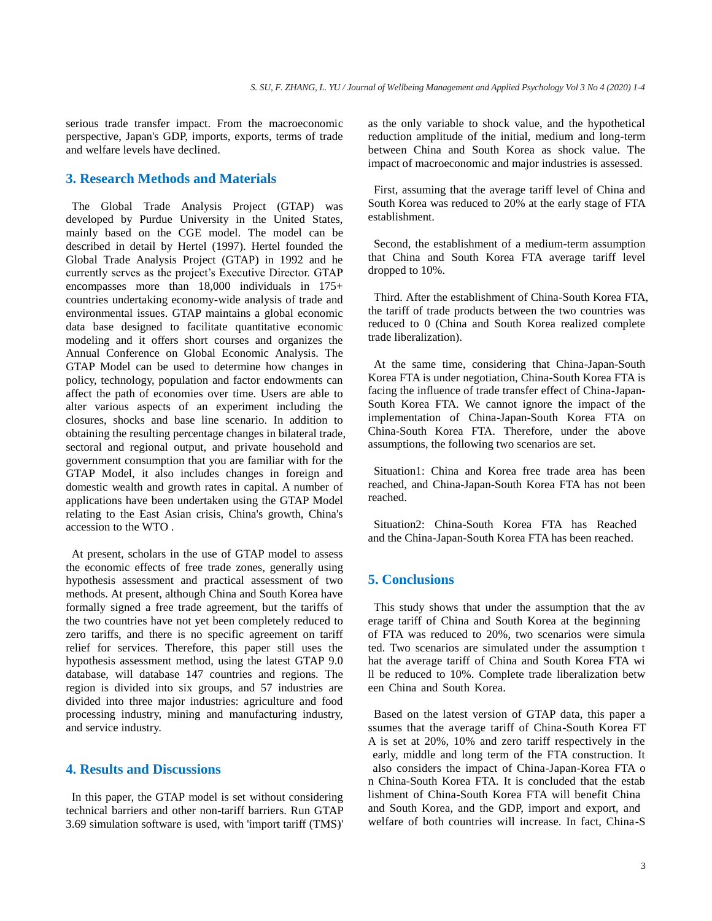serious trade transfer impact. From the macroeconomic perspective, Japan's GDP, imports, exports, terms of trade and welfare levels have declined.

## **3. Research Methods and Materials**

The Global Trade Analysis Project (GTAP) was developed by Purdue University in the United States, mainly based on the CGE model. The model can be described in detail by Hertel (1997). Hertel founded the Global Trade Analysis Project (GTAP) in 1992 and he currently serves as the project's Executive Director. GTAP encompasses more than 18,000 individuals in 175+ countries undertaking economy-wide analysis of trade and environmental issues. GTAP maintains a global economic data base designed to facilitate quantitative economic modeling and it offers short courses and organizes the Annual Conference on Global Economic Analysis. The GTAP Model can be used to determine how changes in policy, technology, population and factor endowments can affect the path of economies over time. Users are able to alter various aspects of an experiment including the closures, shocks and base line scenario. In addition to obtaining the resulting percentage changes in bilateral trade, sectoral and regional output, and private household and government consumption that you are familiar with for the GTAP Model, it also includes changes in foreign and domestic wealth and growth rates in capital. A number of applications have been undertaken using the GTAP Model relating to the East Asian crisis, China's growth, China's accession to the WTO .

At present, scholars in the use of GTAP model to assess the economic effects of free trade zones, generally using hypothesis assessment and practical assessment of two methods. At present, although China and South Korea have formally signed a free trade agreement, but the tariffs of the two countries have not yet been completely reduced to zero tariffs, and there is no specific agreement on tariff relief for services. Therefore, this paper still uses the hypothesis assessment method, using the latest GTAP 9.0 database, will database 147 countries and regions. The region is divided into six groups, and 57 industries are divided into three major industries: agriculture and food processing industry, mining and manufacturing industry, and service industry.

# **4. Results and Discussions**

In this paper, the GTAP model is set without considering technical barriers and other non-tariff barriers. Run GTAP 3.69 simulation software is used, with 'import tariff (TMS)' as the only variable to shock value, and the hypothetical reduction amplitude of the initial, medium and long-term between China and South Korea as shock value. The impact of macroeconomic and major industries is assessed.

First, assuming that the average tariff level of China and South Korea was reduced to 20% at the early stage of FTA establishment.

Second, the establishment of a medium-term assumption that China and South Korea FTA average tariff level dropped to 10%.

Third. After the establishment of China-South Korea FTA, the tariff of trade products between the two countries was reduced to 0 (China and South Korea realized complete trade liberalization).

At the same time, considering that China-Japan-South Korea FTA is under negotiation, China-South Korea FTA is facing the influence of trade transfer effect of China-Japan-South Korea FTA. We cannot ignore the impact of the implementation of China-Japan-South Korea FTA on China-South Korea FTA. Therefore, under the above assumptions, the following two scenarios are set.

Situation1: China and Korea free trade area has been reached, and China-Japan-South Korea FTA has not been reached.

Situation2: China-South Korea FTA has Reached and the China-Japan-South Korea FTA has been reached.

#### **5. Conclusions**

This study shows that under the assumption that the av erage tariff of China and South Korea at the beginning of FTA was reduced to 20%, two scenarios were simula ted. Two scenarios are simulated under the assumption t hat the average tariff of China and South Korea FTA wi ll be reduced to 10%. Complete trade liberalization betw een China and South Korea.

Based on the latest version of GTAP data, this paper a ssumes that the average tariff of China-South Korea FT A is set at 20%, 10% and zero tariff respectively in the early, middle and long term of the FTA construction. It also considers the impact of China-Japan-Korea FTA o n China-South Korea FTA. It is concluded that the estab lishment of China-South Korea FTA will benefit China and South Korea, and the GDP, import and export, and welfare of both countries will increase. In fact, China-S